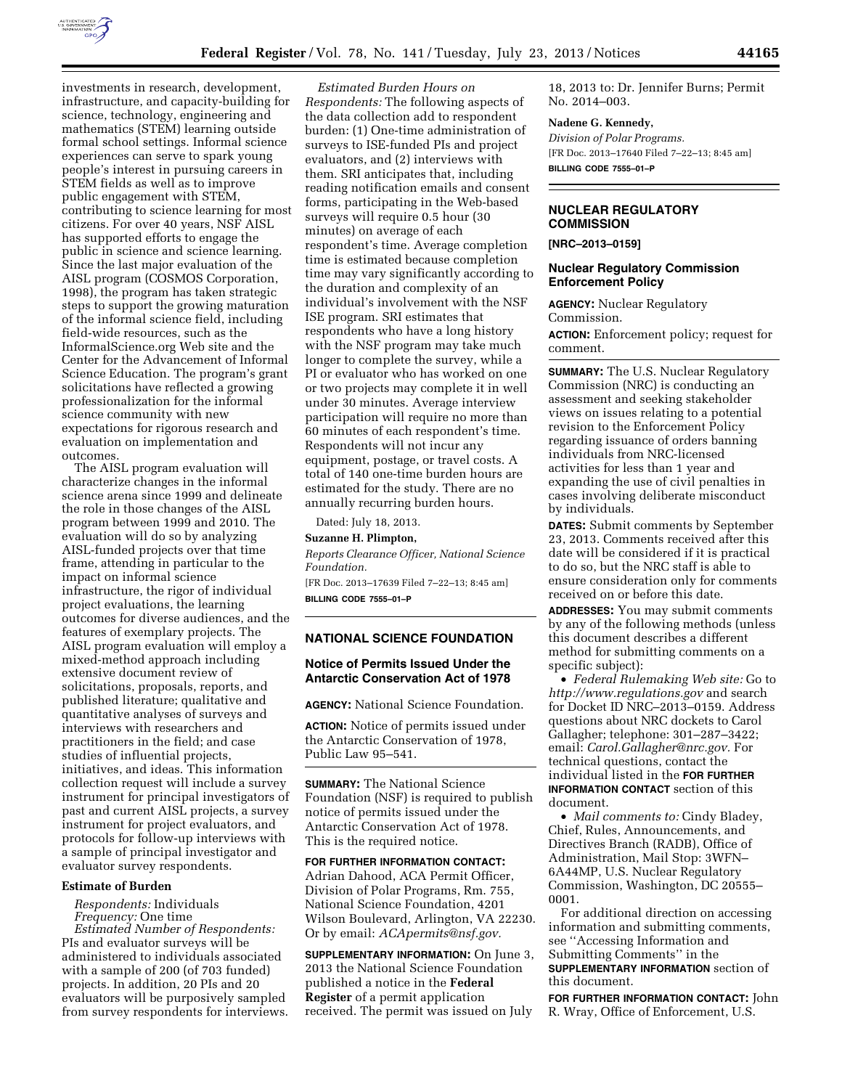

investments in research, development, infrastructure, and capacity-building for science, technology, engineering and mathematics (STEM) learning outside formal school settings. Informal science experiences can serve to spark young people's interest in pursuing careers in STEM fields as well as to improve public engagement with STEM, contributing to science learning for most citizens. For over 40 years, NSF AISL has supported efforts to engage the public in science and science learning. Since the last major evaluation of the AISL program (COSMOS Corporation, 1998), the program has taken strategic steps to support the growing maturation of the informal science field, including field-wide resources, such as the InformalScience.org Web site and the Center for the Advancement of Informal Science Education. The program's grant solicitations have reflected a growing professionalization for the informal science community with new expectations for rigorous research and evaluation on implementation and outcomes.

The AISL program evaluation will characterize changes in the informal science arena since 1999 and delineate the role in those changes of the AISL program between 1999 and 2010. The evaluation will do so by analyzing AISL-funded projects over that time frame, attending in particular to the impact on informal science infrastructure, the rigor of individual project evaluations, the learning outcomes for diverse audiences, and the features of exemplary projects. The AISL program evaluation will employ a mixed-method approach including extensive document review of solicitations, proposals, reports, and published literature; qualitative and quantitative analyses of surveys and interviews with researchers and practitioners in the field; and case studies of influential projects, initiatives, and ideas. This information collection request will include a survey instrument for principal investigators of past and current AISL projects, a survey instrument for project evaluators, and protocols for follow-up interviews with a sample of principal investigator and evaluator survey respondents.

#### **Estimate of Burden**

*Respondents:* Individuals *Frequency:* One time

*Estimated Number of Respondents:*  PIs and evaluator surveys will be administered to individuals associated with a sample of 200 (of 703 funded) projects. In addition, 20 PIs and 20 evaluators will be purposively sampled from survey respondents for interviews.

*Estimated Burden Hours on Respondents:* The following aspects of the data collection add to respondent burden: (1) One-time administration of surveys to ISE-funded PIs and project evaluators, and (2) interviews with them. SRI anticipates that, including reading notification emails and consent forms, participating in the Web-based surveys will require 0.5 hour (30 minutes) on average of each respondent's time. Average completion time is estimated because completion time may vary significantly according to the duration and complexity of an individual's involvement with the NSF ISE program. SRI estimates that respondents who have a long history with the NSF program may take much longer to complete the survey, while a PI or evaluator who has worked on one or two projects may complete it in well under 30 minutes. Average interview participation will require no more than 60 minutes of each respondent's time. Respondents will not incur any equipment, postage, or travel costs. A total of 140 one-time burden hours are estimated for the study. There are no annually recurring burden hours.

Dated: July 18, 2013.

# **Suzanne H. Plimpton,**

*Reports Clearance Officer, National Science Foundation.* 

[FR Doc. 2013–17639 Filed 7–22–13; 8:45 am] **BILLING CODE 7555–01–P** 

#### **NATIONAL SCIENCE FOUNDATION**

# **Notice of Permits Issued Under the Antarctic Conservation Act of 1978**

**AGENCY:** National Science Foundation.

**ACTION:** Notice of permits issued under the Antarctic Conservation of 1978, Public Law 95–541.

**SUMMARY:** The National Science Foundation (NSF) is required to publish notice of permits issued under the Antarctic Conservation Act of 1978. This is the required notice.

**FOR FURTHER INFORMATION CONTACT:**  Adrian Dahood, ACA Permit Officer, Division of Polar Programs, Rm. 755, National Science Foundation, 4201 Wilson Boulevard, Arlington, VA 22230. Or by email: *[ACApermits@nsf.gov.](mailto:ACApermits@nsf.gov)* 

**SUPPLEMENTARY INFORMATION:** On June 3, 2013 the National Science Foundation published a notice in the **Federal Register** of a permit application received. The permit was issued on July

18, 2013 to: Dr. Jennifer Burns; Permit No. 2014–003.

#### **Nadene G. Kennedy,**

*Division of Polar Programs.*  [FR Doc. 2013–17640 Filed 7–22–13; 8:45 am] **BILLING CODE 7555–01–P** 

### **NUCLEAR REGULATORY COMMISSION**

**[NRC–2013–0159]** 

## **Nuclear Regulatory Commission Enforcement Policy**

**AGENCY:** Nuclear Regulatory Commission.

**ACTION:** Enforcement policy; request for comment.

**SUMMARY:** The U.S. Nuclear Regulatory Commission (NRC) is conducting an assessment and seeking stakeholder views on issues relating to a potential revision to the Enforcement Policy regarding issuance of orders banning individuals from NRC-licensed activities for less than 1 year and expanding the use of civil penalties in cases involving deliberate misconduct by individuals.

**DATES:** Submit comments by September 23, 2013. Comments received after this date will be considered if it is practical to do so, but the NRC staff is able to ensure consideration only for comments received on or before this date.

**ADDRESSES:** You may submit comments by any of the following methods (unless this document describes a different method for submitting comments on a specific subject):

• *Federal Rulemaking Web site:* Go to *<http://www.regulations.gov>* and search for Docket ID NRC–2013–0159. Address questions about NRC dockets to Carol Gallagher; telephone: 301–287–3422; email: *[Carol.Gallagher@nrc.gov.](mailto:Carol.Gallagher@nrc.gov)* For technical questions, contact the individual listed in the **FOR FURTHER INFORMATION CONTACT** section of this document.

• *Mail comments to:* Cindy Bladey, Chief, Rules, Announcements, and Directives Branch (RADB), Office of Administration, Mail Stop: 3WFN– 6A44MP, U.S. Nuclear Regulatory Commission, Washington, DC 20555– 0001.

For additional direction on accessing information and submitting comments, see ''Accessing Information and Submitting Comments'' in the

**SUPPLEMENTARY INFORMATION** section of this document.

**FOR FURTHER INFORMATION CONTACT:** John R. Wray, Office of Enforcement, U.S.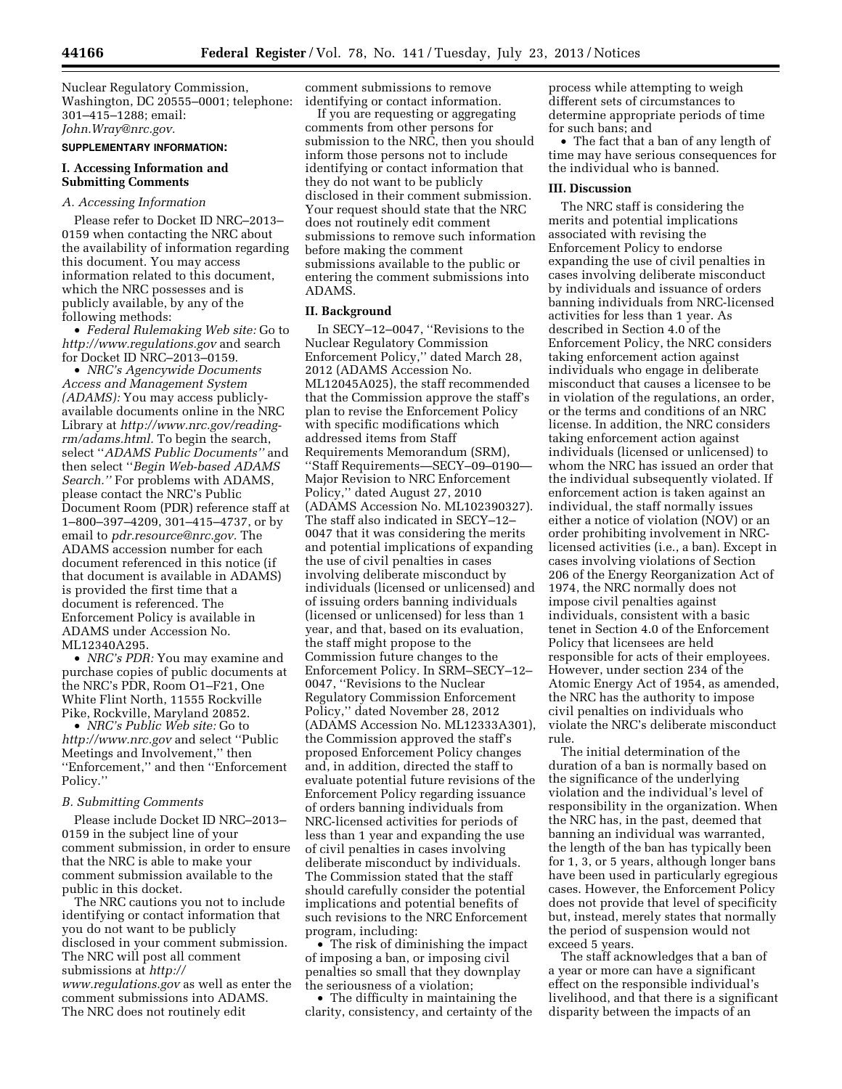Nuclear Regulatory Commission, Washington, DC 20555–0001; telephone: 301–415–1288; email: *[John.Wray@nrc.gov.](mailto:John.Wray@nrc.gov)* 

#### **SUPPLEMENTARY INFORMATION:**

## **I. Accessing Information and Submitting Comments**

#### *A. Accessing Information*

Please refer to Docket ID NRC–2013– 0159 when contacting the NRC about the availability of information regarding this document. You may access information related to this document, which the NRC possesses and is publicly available, by any of the following methods:

• *Federal Rulemaking Web site:* Go to *<http://www.regulations.gov>* and search for Docket ID NRC–2013–0159.

• *NRC's Agencywide Documents Access and Management System (ADAMS):* You may access publiclyavailable documents online in the NRC Library at *[http://www.nrc.gov/reading](http://www.nrc.gov/reading-rm/adams.html)[rm/adams.html.](http://www.nrc.gov/reading-rm/adams.html)* To begin the search, select ''*ADAMS Public Documents''* and then select ''*Begin Web-based ADAMS Search.''* For problems with ADAMS, please contact the NRC's Public Document Room (PDR) reference staff at 1–800–397–4209, 301–415–4737, or by email to *[pdr.resource@nrc.gov.](mailto:pdr.resource@nrc.gov)* The ADAMS accession number for each document referenced in this notice (if that document is available in ADAMS) is provided the first time that a document is referenced. The Enforcement Policy is available in ADAMS under Accession No. ML12340A295.

• *NRC's PDR:* You may examine and purchase copies of public documents at the NRC's PDR, Room O1–F21, One White Flint North, 11555 Rockville Pike, Rockville, Maryland 20852.

• *NRC's Public Web site:* Go to *<http://www.nrc.gov>*and select ''Public Meetings and Involvement,'' then ''Enforcement,'' and then ''Enforcement Policy.''

#### *B. Submitting Comments*

Please include Docket ID NRC–2013– 0159 in the subject line of your comment submission, in order to ensure that the NRC is able to make your comment submission available to the public in this docket.

The NRC cautions you not to include identifying or contact information that you do not want to be publicly disclosed in your comment submission. The NRC will post all comment submissions at *[http://](http://www.regulations.gov)  [www.regulations.gov](http://www.regulations.gov)* as well as enter the comment submissions into ADAMS. The NRC does not routinely edit

comment submissions to remove identifying or contact information.

If you are requesting or aggregating comments from other persons for submission to the NRC, then you should inform those persons not to include identifying or contact information that they do not want to be publicly disclosed in their comment submission. Your request should state that the NRC does not routinely edit comment submissions to remove such information before making the comment submissions available to the public or entering the comment submissions into ADAMS.

#### **II. Background**

In SECY–12–0047, ''Revisions to the Nuclear Regulatory Commission Enforcement Policy,'' dated March 28, 2012 (ADAMS Accession No. ML12045A025), the staff recommended that the Commission approve the staff's plan to revise the Enforcement Policy with specific modifications which addressed items from Staff Requirements Memorandum (SRM), ''Staff Requirements—SECY–09–0190— Major Revision to NRC Enforcement Policy,'' dated August 27, 2010 (ADAMS Accession No. ML102390327). The staff also indicated in SECY–12– 0047 that it was considering the merits and potential implications of expanding the use of civil penalties in cases involving deliberate misconduct by individuals (licensed or unlicensed) and of issuing orders banning individuals (licensed or unlicensed) for less than 1 year, and that, based on its evaluation, the staff might propose to the Commission future changes to the Enforcement Policy. In SRM–SECY–12– 0047, ''Revisions to the Nuclear Regulatory Commission Enforcement Policy,'' dated November 28, 2012 (ADAMS Accession No. ML12333A301), the Commission approved the staff's proposed Enforcement Policy changes and, in addition, directed the staff to evaluate potential future revisions of the Enforcement Policy regarding issuance of orders banning individuals from NRC-licensed activities for periods of less than 1 year and expanding the use of civil penalties in cases involving deliberate misconduct by individuals. The Commission stated that the staff should carefully consider the potential implications and potential benefits of such revisions to the NRC Enforcement program, including:

• The risk of diminishing the impact of imposing a ban, or imposing civil penalties so small that they downplay the seriousness of a violation;

• The difficulty in maintaining the clarity, consistency, and certainty of the process while attempting to weigh different sets of circumstances to determine appropriate periods of time for such bans; and

• The fact that a ban of any length of time may have serious consequences for the individual who is banned.

#### **III. Discussion**

The NRC staff is considering the merits and potential implications associated with revising the Enforcement Policy to endorse expanding the use of civil penalties in cases involving deliberate misconduct by individuals and issuance of orders banning individuals from NRC-licensed activities for less than 1 year. As described in Section 4.0 of the Enforcement Policy, the NRC considers taking enforcement action against individuals who engage in deliberate misconduct that causes a licensee to be in violation of the regulations, an order, or the terms and conditions of an NRC license. In addition, the NRC considers taking enforcement action against individuals (licensed or unlicensed) to whom the NRC has issued an order that the individual subsequently violated. If enforcement action is taken against an individual, the staff normally issues either a notice of violation (NOV) or an order prohibiting involvement in NRClicensed activities (i.e., a ban). Except in cases involving violations of Section 206 of the Energy Reorganization Act of 1974, the NRC normally does not impose civil penalties against individuals, consistent with a basic tenet in Section 4.0 of the Enforcement Policy that licensees are held responsible for acts of their employees. However, under section 234 of the Atomic Energy Act of 1954, as amended, the NRC has the authority to impose civil penalties on individuals who violate the NRC's deliberate misconduct rule.

The initial determination of the duration of a ban is normally based on the significance of the underlying violation and the individual's level of responsibility in the organization. When the NRC has, in the past, deemed that banning an individual was warranted, the length of the ban has typically been for 1, 3, or 5 years, although longer bans have been used in particularly egregious cases. However, the Enforcement Policy does not provide that level of specificity but, instead, merely states that normally the period of suspension would not exceed 5 years.

The staff acknowledges that a ban of a year or more can have a significant effect on the responsible individual's livelihood, and that there is a significant disparity between the impacts of an